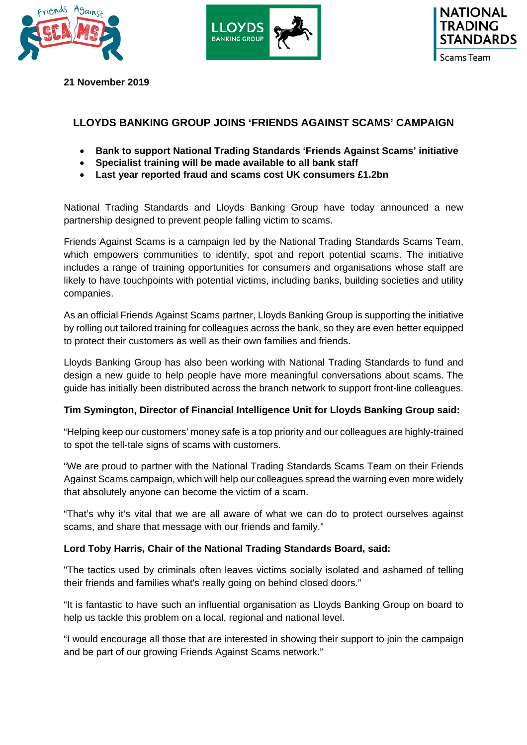





**21 November 2019** 

# **LLOYDS BANKING GROUP JOINS 'FRIENDS AGAINST SCAMS' CAMPAIGN**

- **Bank to support National Trading Standards 'Friends Against Scams' initiative**
- **Specialist training will be made available to all bank staff**
- **Last year reported fraud and scams cost UK consumers £1.2bn**

National Trading Standards and Lloyds Banking Group have today announced a new partnership designed to prevent people falling victim to scams.

Friends Against Scams is a campaign led by the National Trading Standards Scams Team, which empowers communities to identify, spot and report potential scams. The initiative includes a range of training opportunities for consumers and organisations whose staff are likely to have touchpoints with potential victims, including banks, building societies and utility companies.

As an official Friends Against Scams partner, Lloyds Banking Group is supporting the initiative by rolling out tailored training for colleagues across the bank, so they are even better equipped to protect their customers as well as their own families and friends.

Lloyds Banking Group has also been working with National Trading Standards to fund and design a new guide to help people have more meaningful conversations about scams. The guide has initially been distributed across the branch network to support front-line colleagues.

## **Tim Symington, Director of Financial Intelligence Unit for Lloyds Banking Group said:**

"Helping keep our customers' money safe is a top priority and our colleagues are highly-trained to spot the tell-tale signs of scams with customers.

"We are proud to partner with the National Trading Standards Scams Team on their Friends Against Scams campaign, which will help our colleagues spread the warning even more widely that absolutely anyone can become the victim of a scam.

"That's why it's vital that we are all aware of what we can do to protect ourselves against scams, and share that message with our friends and family."

## **Lord Toby Harris, Chair of the National Trading Standards Board, said:**

"The tactics used by criminals often leaves victims socially isolated and ashamed of telling their friends and families what's really going on behind closed doors."

"It is fantastic to have such an influential organisation as Lloyds Banking Group on board to help us tackle this problem on a local, regional and national level.

"I would encourage all those that are interested in showing their support to join the campaign and be part of our growing Friends Against Scams network."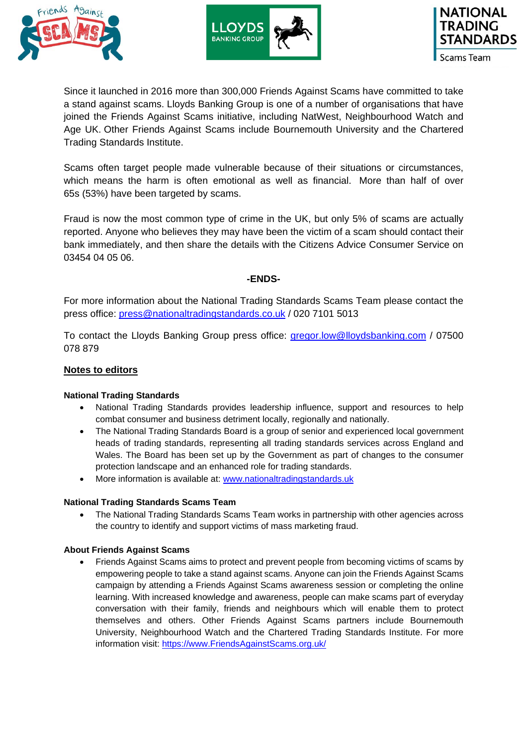





Since it launched in 2016 more than 300,000 Friends Against Scams have committed to take a stand against scams. Lloyds Banking Group is one of a number of organisations that have joined the Friends Against Scams initiative, including NatWest, Neighbourhood Watch and Age UK. Other Friends Against Scams include Bournemouth University and the Chartered Trading Standards Institute.

Scams often target people made vulnerable because of their situations or circumstances, which means the harm is often emotional as well as financial. More than half of over 65s (53%) have been targeted by scams.

Fraud is now the most common type of crime in the UK, but only 5% of scams are actually reported. Anyone who believes they may have been the victim of a scam should contact their bank immediately, and then share the details with the Citizens Advice Consumer Service on 03454 04 05 06.

## **-ENDS-**

For more information about the National Trading Standards Scams Team please contact the press office: press@nationaltradingstandards.co.uk / 020 7101 5013

To contact the Lloyds Banking Group press office: gregor.low@lloydsbanking.com / 07500 078 879

## **Notes to editors**

## **National Trading Standards**

- National Trading Standards provides leadership influence, support and resources to help combat consumer and business detriment locally, regionally and nationally.
- The National Trading Standards Board is a group of senior and experienced local government heads of trading standards, representing all trading standards services across England and Wales. The Board has been set up by the Government as part of changes to the consumer protection landscape and an enhanced role for trading standards.
- More information is available at: www.nationaltradingstandards.uk

#### **National Trading Standards Scams Team**

 The National Trading Standards Scams Team works in partnership with other agencies across the country to identify and support victims of mass marketing fraud.

## **About Friends Against Scams**

 Friends Against Scams aims to protect and prevent people from becoming victims of scams by empowering people to take a stand against scams. Anyone can join the Friends Against Scams campaign by attending a Friends Against Scams awareness session or completing the online learning. With increased knowledge and awareness, people can make scams part of everyday conversation with their family, friends and neighbours which will enable them to protect themselves and others. Other Friends Against Scams partners include Bournemouth University, Neighbourhood Watch and the Chartered Trading Standards Institute. For more information visit: https://www.FriendsAgainstScams.org.uk/